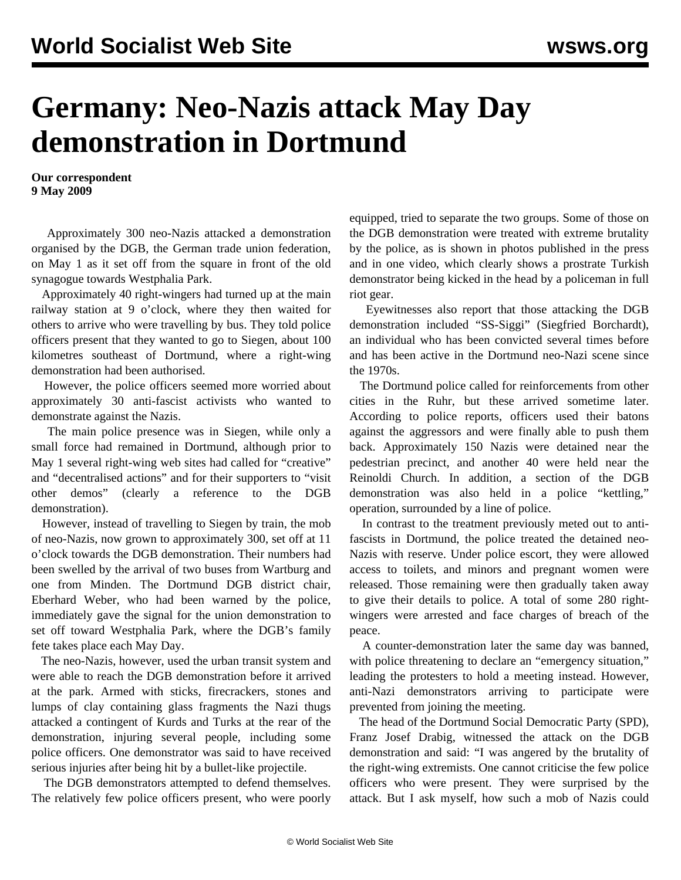## **Germany: Neo-Nazis attack May Day demonstration in Dortmund**

**Our correspondent 9 May 2009**

 Approximately 300 neo-Nazis attacked a demonstration organised by the DGB, the German trade union federation, on May 1 as it set off from the square in front of the old synagogue towards Westphalia Park.

 Approximately 40 right-wingers had turned up at the main railway station at 9 o'clock, where they then waited for others to arrive who were travelling by bus. They told police officers present that they wanted to go to Siegen, about 100 kilometres southeast of Dortmund, where a right-wing demonstration had been authorised.

 However, the police officers seemed more worried about approximately 30 anti-fascist activists who wanted to demonstrate against the Nazis.

 The main police presence was in Siegen, while only a small force had remained in Dortmund, although prior to May 1 several right-wing web sites had called for "creative" and "decentralised actions" and for their supporters to "visit other demos" (clearly a reference to the DGB demonstration).

 However, instead of travelling to Siegen by train, the mob of neo-Nazis, now grown to approximately 300, set off at 11 o'clock towards the DGB demonstration. Their numbers had been swelled by the arrival of two buses from Wartburg and one from Minden. The Dortmund DGB district chair, Eberhard Weber, who had been warned by the police, immediately gave the signal for the union demonstration to set off toward Westphalia Park, where the DGB's family fete takes place each May Day.

 The neo-Nazis, however, used the urban transit system and were able to reach the DGB demonstration before it arrived at the park. Armed with sticks, firecrackers, stones and lumps of clay containing glass fragments the Nazi thugs attacked a contingent of Kurds and Turks at the rear of the demonstration, injuring several people, including some police officers. One demonstrator was said to have received serious injuries after being hit by a bullet-like projectile.

 The DGB demonstrators attempted to defend themselves. The relatively few police officers present, who were poorly equipped, tried to separate the two groups. Some of those on the DGB demonstration were treated with extreme brutality by the police, as is shown in photos published in the press and in one [video](http://www.wdr.de/mediathek/html/regional/2009/05/02/lokalzeit-dortmund-rechte.xml), which clearly shows a prostrate Turkish demonstrator being kicked in the head by a policeman in full riot gear.

 Eyewitnesses also report that those attacking the DGB demonstration included "SS-Siggi" (Siegfried Borchardt), an individual who has been convicted several times before and has been active in the Dortmund neo-Nazi scene since the 1970s.

 The Dortmund police called for reinforcements from other cities in the Ruhr, but these arrived sometime later. According to police reports, officers used their batons against the aggressors and were finally able to push them back. Approximately 150 Nazis were detained near the pedestrian precinct, and another 40 were held near the Reinoldi Church. In addition, a section of the DGB demonstration was also held in a police "kettling," operation, surrounded by a line of police.

 In contrast to the treatment previously meted out to antifascists in Dortmund, the police treated the detained neo-Nazis with reserve. Under police escort, they were allowed access to toilets, and minors and pregnant women were released. Those remaining were then gradually taken away to give their details to police. A total of some 280 rightwingers were arrested and face charges of breach of the peace.

 A counter-demonstration later the same day was banned, with police threatening to declare an "emergency situation," leading the protesters to hold a meeting instead. However, anti-Nazi demonstrators arriving to participate were prevented from joining the meeting.

 The head of the Dortmund Social Democratic Party (SPD), Franz Josef Drabig, witnessed the attack on the DGB demonstration and said: "I was angered by the brutality of the right-wing extremists. One cannot criticise the few police officers who were present. They were surprised by the attack. But I ask myself, how such a mob of Nazis could